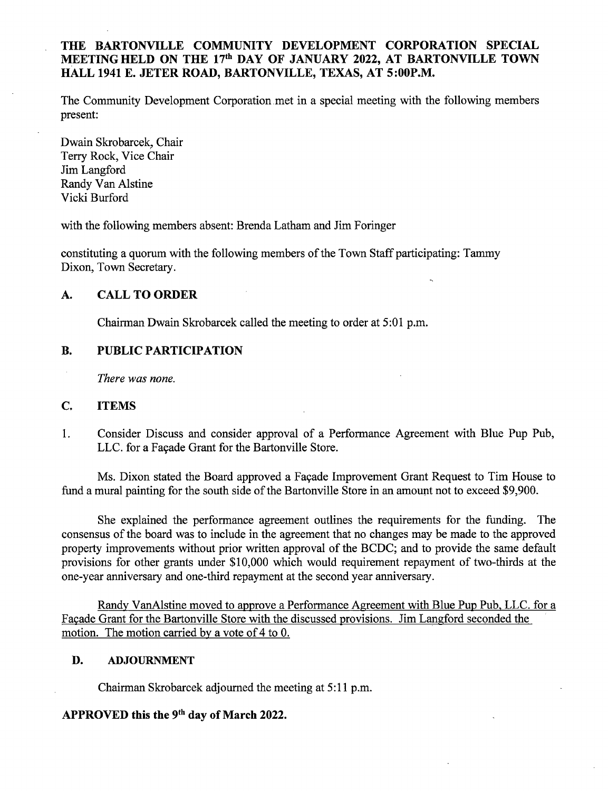## THE BARTONVILLE COMMUNITY DEVELOPMENT CORPORATION SPECIAL MEETING HELD ON THE 17<sup>th</sup> DAY OF JANUARY 2022, AT BARTONVILLE TOWN HALL 1941 E. JETER ROAD, BARTONVILLE, TEXAS, AT 5:00P.M.

The Community Development Corporation\_ met in a special meeting with the following members present:

Dwain Skrobarcek, Chair Terry Rock, Vice Chair Jim Langford Randy Van Alstine Vicki Burford

with the following members absent: Brenda Latham and Jim Foringer

constituting a quorum with the following members of the Town Staff participating: Tammy Dixon, Town Secretary.

## A. CALL TO ORDER

Chairman Dwain Skrobarcek called the meeting to order at 5:01 p.m.

## B. PUBLIC PARTICIPATION

There was none.

#### C. ITEMS

1. Consider Discuss and consider approval of a Performance Agreement with Blue Pup Pub, LLC. for a Facade Grant for the Bartonville Store.

Ms. Dixon stated the Board approved a Facade Improvement Grant Request to Tim House to fund a mural painting for the south side of the Bartonville Store in an amount not to exceed \$9,900.

She explained the performance agreement outlines the requirements for the funding. The consensus of the board was to include in the agreement that no changes may be made to the approved property improvements without prior written approval of the BCDC; and to provide the same default provisions for other grants under \$10,000 which would requirement repayment of two-thirds at the one- year anniversary and one-third repayment at the second year anniversary.

Randy VanAlstine moved to approve a Performance Agreement with Blue Pup Pub, LLC. for a Facade Grant for the Bartonville Store with the discussed provisions. Jim Langford seconded the motion. The motion carried by <sup>a</sup> vote of 4 to 0.

#### D. ADJOURNMENT

Chairman Skrobarcek adjourned the meeting at 5:11 p.m.

# APPROVED this the 9<sup>th</sup> day of March 2022.